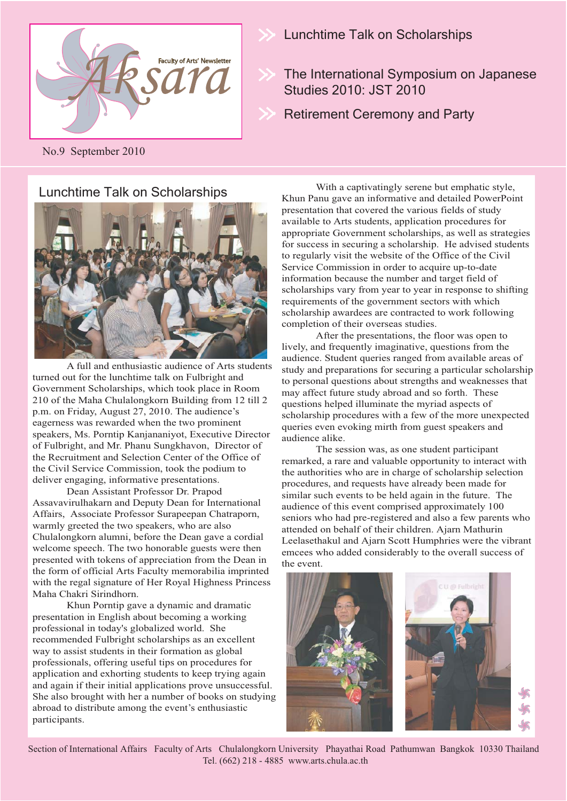

No.9 September 2010

### Lunchtime Talk on Scholarships



 A full and enthusiastic audience of Arts students turned out for the lunchtime talk on Fulbright and Government Scholarships, which took place in Room 210 of the Maha Chulalongkorn Building from 12 till 2 p.m. on Friday, August 27, 2010. The audience's eagerness was rewarded when the two prominent speakers, Ms. Porntip Kanjananiyot, Executive Director of Fulbright, and Mr. Phanu Sungkhavon, Director of the Recruitment and Selection Center of the Office of the Civil Service Commission, took the podium to deliver engaging, informative presentations.

 Dean Assistant Professor Dr. Prapod Assavavirulhakarn and Deputy Dean for International Affairs, Associate Professor Surapeepan Chatraporn, warmly greeted the two speakers, who are also Chulalongkorn alumni, before the Dean gave a cordial welcome speech. The two honorable guests were then presented with tokens of appreciation from the Dean in the form of official Arts Faculty memorabilia imprinted with the regal signature of Her Royal Highness Princess Maha Chakri Sirindhorn.

 Khun Porntip gave a dynamic and dramatic presentation in English about becoming a working professional in today's globalized world. She recommended Fulbright scholarships as an excellent way to assist students in their formation as global professionals, offering useful tips on procedures for application and exhorting students to keep trying again and again if their initial applications prove unsuccessful. She also brought with her a number of books on studying abroad to distribute among the event's enthusiastic participants.

Lunchtime Talk on Scholarships

The International Symposium on Japanese Studies 2010: JST 2010

Retirement Ceremony and Party

 With a captivatingly serene but emphatic style, Khun Panu gave an informative and detailed PowerPoint presentation that covered the various fields of study available to Arts students, application procedures for appropriate Government scholarships, as well as strategies for success in securing a scholarship. He advised students to regularly visit the website of the Office of the Civil Service Commission in order to acquire up-to-date information because the number and target field of scholarships vary from year to year in response to shifting requirements of the government sectors with which scholarship awardees are contracted to work following completion of their overseas studies.

 After the presentations, the floor was open to lively, and frequently imaginative, questions from the audience. Student queries ranged from available areas of study and preparations for securing a particular scholarship to personal questions about strengths and weaknesses that may affect future study abroad and so forth. These questions helped illuminate the myriad aspects of scholarship procedures with a few of the more unexpected queries even evoking mirth from guest speakers and audience alike.

 The session was, as one student participant remarked, a rare and valuable opportunity to interact with the authorities who are in charge of scholarship selection procedures, and requests have already been made for similar such events to be held again in the future. The audience of this event comprised approximately 100 seniors who had pre-registered and also a few parents who attended on behalf of their children. Ajarn Mathurin Leelasethakul and Ajarn Scott Humphries were the vibrant emcees who added considerably to the overall success of the event.



Section of International Affairs Faculty of Arts Chulalongkorn University Phayathai Road Pathumwan Bangkok 10330 Thailand Tel. (662) 218 - 4885 www.arts.chula.ac.th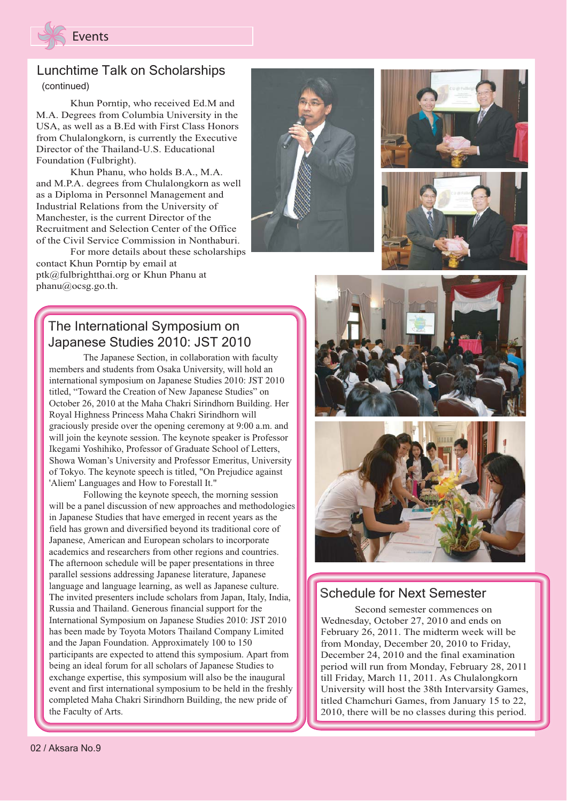

# Lunchtime Talk on Scholarships

(continued)

 Khun Porntip, who received Ed.M and M.A. Degrees from Columbia University in the USA, as well as a B.Ed with First Class Honors from Chulalongkorn, is currently the Executive Director of the Thailand-U.S. Educational Foundation (Fulbright).

 Khun Phanu, who holds B.A., M.A. and M.P.A. degrees from Chulalongkorn as well as a Diploma in Personnel Management and Industrial Relations from the University of Manchester, is the current Director of the Recruitment and Selection Center of the Office of the Civil Service Commission in Nonthaburi.

 For more details about these scholarships contact Khun Porntip by email at ptk@fulbrightthai.org or Khun Phanu at phanu@ocsg.go.th.

## The International Symposium on Japanese Studies 2010: JST 2010

 The Japanese Section, in collaboration with faculty members and students from Osaka University, will hold an international symposium on Japanese Studies 2010: JST 2010 titled, "Toward the Creation of New Japanese Studies" on October 26, 2010 at the Maha Chakri Sirindhorn Building. Her Her Royal Highness Princess Maha Chakri Sirindhorn will graciously preside over the opening ceremony at 9:00 a.m. and will join the keynote session. The keynote speaker is Professor Professor Ikegami Yoshihiko, Professor of Graduate School of Letters, Showa Woman's University and Professor Emeritus, University of Tokyo. The keynote speech is titled, "On Prejudice against 'Aliem' Languages and How to Forestall It."

 Following the keynote speech, the morning session will be a panel discussion of new approaches and methodologies in Japanese Studies that have emerged in recent years as the field has grown and diversified beyond its traditional core of Japanese, American and European scholars to incorporate academics and researchers from other regions and countries. The afternoon schedule will be paper presentations in three parallel sessions addressing Japanese literature, Japanese language and language learning, as well as Japanese culture. The invited presenters include scholars from Japan, Italy, India, Russia and Thailand. Generous financial support for the International Symposium on Japanese Studies 2010: JST 2010 2010 has been made by Toyota Motors Thailand Company Limited Limited and the Japan Foundation. Approximately 100 to 150 participants are expected to attend this symposium. Apart from being an ideal forum for all scholars of Japanese Studies to exchange expertise, this symposium will also be the inaugural event and first international symposium to be held in the freshly completed Maha Chakri Sirindhorn Building, the new pride of the Faculty of Arts. The International Symposium on Japanese Studies 2010: JST 20<br>
The Japanese Section, in collaboration w<br>
members and students from Osaka University, will<br>
international symposium on Japanese Studies 201<br>
October 26, 2010 at phanu@oesg.go.th.<br>
The International Symposium on<br>
Japanese Studies 2010: JST 20<br>
The Japanese Section, in collaboration w<br>
members and students from Osaka University, will<br>
international symposium on Japanese Studies 201











### Schedule for Next Semester Schedule for Next

 Second semester commences on Wednesday, October 27, 2010 and ends on February 26, 2011. The midterm week will be from Monday, December 20, 2010 to Friday, December 24, 2010 and the final examination period will run from Monday, February 28, 2011 till Friday, March 11, 2011. As Chulalongkorn University will host the 38th Intervarsity Games, titled Chamchuri Games, from January 15 to 22, 2010, there will be no classes during this period.